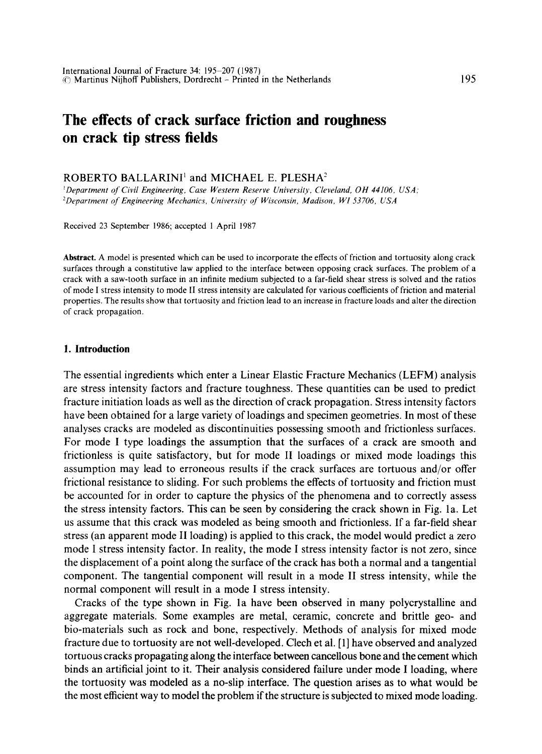# **The effects of crack surface friction and roughness on crack tip stress fields**

# ROBERTO BALLARINI<sup>1</sup> and MICHAEL E. PLESHA<sup>2</sup>

*~Department of Civil Engineering, Case Western Reserve University, Cleveland, OH 44106, USA; 2Department of Engineering Mechanics, University of Wisconsin, Madison, WI 53706, USA* 

Received 23 September 1986; accepted l April 1987

**Abstract.** A model is presented which can be used to incorporate the effects of friction and tortuosity along crack surfaces through a constitutive law applied to the interface between opposing crack surfaces. The problem of a crack with a saw-tooth surface in an infinite medium subjected to a far-field shear stress is solved and the ratios of mode I stress intensity to mode II stress intensity are calculated for various coefficients of friction and material properties. The results show that tortuosity and friction lead to an increase in fracture loads and alter the direction of crack propagation.

#### **I. Introduction**

The essential ingredients which enter a Linear Elastic Fracture Mechanics (LEFM) analysis are stress intensity factors and fracture toughness. These quantities can be used to predict fracture initiation loads as well as the direction of crack propagation. Stress intensity factors have been obtained for a large variety of loadings and specimen geometries. In most of these analyses cracks are modeled as discontinuities possessing smooth and frictionless surfaces. For mode I type loadings the assumption that the surfaces of a crack are smooth and frictionless is quite satisfactory, but for mode II loadings or mixed mode loadings this assumption may lead to erroneous results if the crack surfaces are tortuous and/or offer frictional resistance to sliding. For such problems the effects of tortuosity and friction must be accounted for in order to capture the physics of the phenomena and to correctly assess the stress intensity factors. This can be seen by considering the crack shown in Fig. la. Let us assume that this crack was modeled as being smooth and frictionless. If a far-field shear stress (an apparent mode II loading) is applied to this crack, the model would predict a zero mode I stress intensity factor. In reality, the mode I stress intensity factor is not zero, since the displacement of a point along the surface of the crack has both a normal and a tangential component. The tangential component will result in a mode II stress intensity, while the normal component will result in a mode I stress intensity.

Cracks of the type shown in Fig. la have been observed in many polycrystalline and aggregate materials. Some examples are metal, ceramic, concrete and brittle geo- and bio-materials such as rock and bone, respectively. Methods of analysis for mixed mode fracture due to tortuosity are not well-developed. Clech et al. [1] have observed and analyzed tortuous cracks propagating along the interface between cancellous bone and the cement which binds an artificial joint to it. Their analysis considered failure under mode I loading, where the tortuosity was modeled as a no-slip interface. The question arises as to what would be the most efficient way to model the problem if the structure is subjected to mixed mode loading.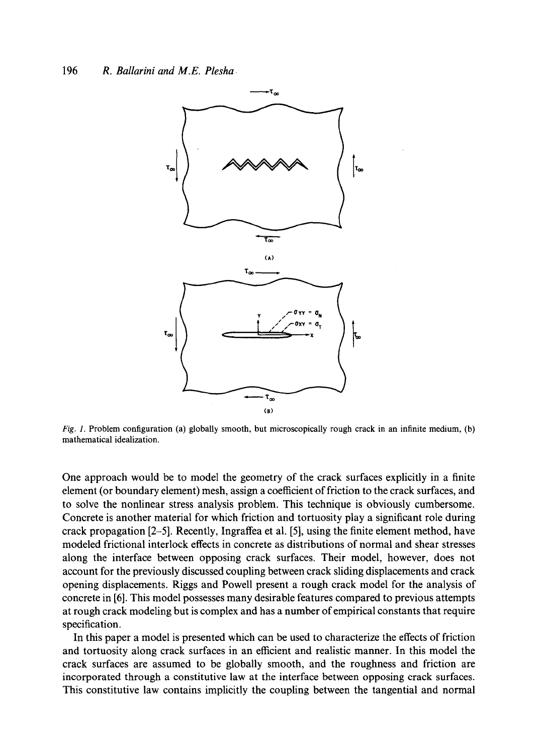

*Fig. 1.* Problem configuration (a) globally smooth, but microscopically rough crack in an infinite medium, (b) mathematical idealization.

One approach would be to model the geometry of the crack surfaces explicitly in a finite element (or boundary element) mesh, assign a coefficient of friction to the crack surfaces, and to solve the nonlinear stress analysis problem. This technique is obviously cumbersome. Concrete is another material for which friction and tortuosity play a significant role during crack propagation [2-5]. Recently, Ingraffea et al. [5], using the finite element method, have modeled frictional interlock effects in concrete as distributions of normal and shear stresses along the interface between opposing crack surfaces. Their model, however, does not account for the previously discussed coupling between crack sliding displacements and crack opening displacements. Riggs and Powell present a rough crack model for the analysis of concrete in [6]. This model possesses many desirable features compared to previous attempts at rough crack modeling but is complex and has a number of empirical constants that require specification.

In this paper a model is presented which can be used to characterize the effects of friction and tortuosity along crack surfaces in an efficient and realistic manner. In this model the crack surfaces are assumed to be globally smooth, and the roughness and friction are incorporated through a constitutive law at the interface between opposing crack surfaces. This constitutive law contains implicitly the coupling between the tangential and normal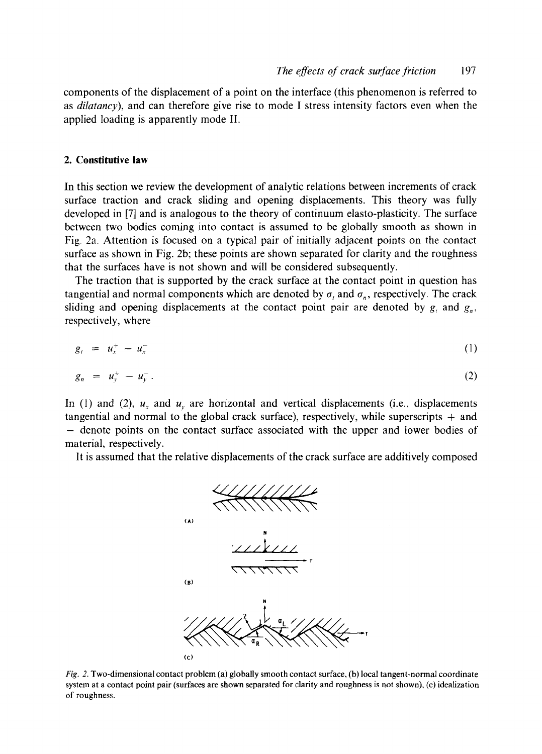components of the displacement of a point on the interface (this phenomenon is referred to as *dilatancy),* and can therefore give rise to mode I stress intensity factors even when the applied loading is apparently mode II.

# **2. Constitutive law**

In this section we review the development of analytic relations between increments of crack surface traction and crack sliding and opening displacements. This theory was fully developed in [7] and is analogous to the theory of continuum elasto-plasticity. The surface between two bodies coming into contact is assumed to be globally smooth as shown in Fig. 2a. Attention is focused on a typical pair of initially adjacent points on the contact surface as shown in Fig. 2b; these points are shown separated for clarity and the roughness that the surfaces have is not shown and will be considered subsequently.

The traction that is supported by the crack surface at the contact point in question has tangential and normal components which are denoted by  $\sigma$ , and  $\sigma_n$ , respectively. The crack sliding and opening displacements at the contact point pair are denoted by  $g_t$ , and  $g_n$ , respectively, where

$$
g_t = u_x^+ - u_x^- \tag{1}
$$

$$
g_n = u_y^+ - u_y^- \tag{2}
$$

In (1) and (2),  $u_x$  and  $u_y$  are horizontal and vertical displacements (i.e., displacements tangential and normal to the global crack surface), respectively, while superscripts  $+$  and - denote points on the contact surface associated with the upper and lower bodies of material, respectively.

It is assumed that the relative displacements of the crack surface are additively composed



*Fig. 2.* Two-dimensional contact problem (a) globally smooth contact surface, (b) local tangent-normal coordinate system at a contact point pair (surfaces are shown separated for clarity and roughness is not shown), (c) idealization of roughness.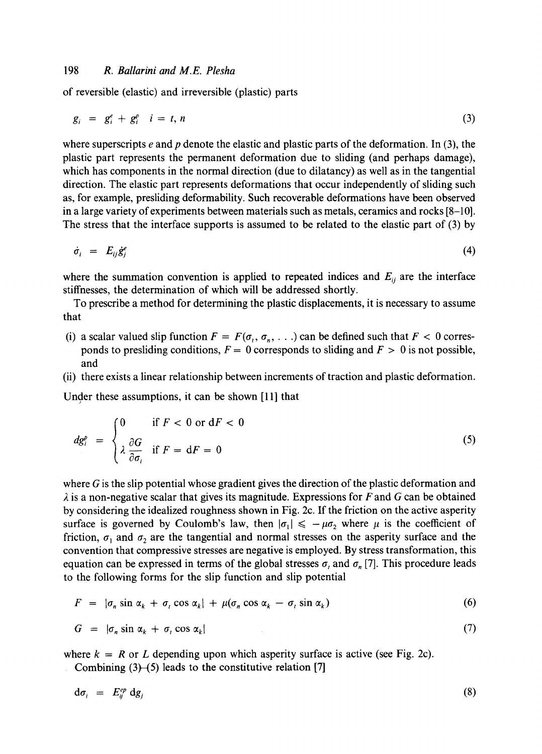# 198 *R. Ballarini and M.E. Plesha*

of reversible (elastic) and irreversible (plastic) parts

$$
g_i = g_i^e + g_i^p \quad i = t, n \tag{3}
$$

where superscripts  $e$  and  $p$  denote the elastic and plastic parts of the deformation. In (3), the plastic part represents the permanent deformation due to sliding (and perhaps damage), which has components in the normal direction (due to dilatancy) as well as in the tangential direction. The elastic part represents deformations that occur independently of sliding such as, for example, presliding deformability. Such recoverable deformations have been observed in a large variety of experiments between materials such as metals, ceramics and rocks [8-10]. The stress that the interface supports is assumed to be related to the elastic part of (3) by

$$
\dot{\sigma}_i = E_{ij} \dot{\mathcal{S}}_j^c \tag{4}
$$

where the summation convention is applied to repeated indices and  $E_{ij}$  are the interface stiffnesses, the determination of which will be addressed shortly.

To prescribe a method for determining the plastic displacements, it is necessary to assume that

- (i) a scalar valued slip function  $F = F(\sigma_t, \sigma_n, ...)$  can be defined such that  $F < 0$  corresponds to presliding conditions,  $F = 0$  corresponds to sliding and  $F > 0$  is not possible, and
- (ii) there exists a linear relationship between increments of traction and plastic deformation.

Under these assumptions, it can be shown [11] that

$$
dg_i^P = \begin{cases} 0 & \text{if } F < 0 \text{ or } dF < 0\\ \lambda \frac{\partial G}{\partial \sigma_i} & \text{if } F = dF = 0 \end{cases}
$$
 (5)

where  $G$  is the slip potential whose gradient gives the direction of the plastic deformation and  $\lambda$  is a non-negative scalar that gives its magnitude. Expressions for F and G can be obtained by considering the idealized roughness shown in Fig. 2c. If the friction on the active asperity surface is governed by Coulomb's law, then  $|\sigma_1| \le -\mu \sigma_2$  where  $\mu$  is the coefficient of friction,  $\sigma_1$  and  $\sigma_2$  are the tangential and normal stresses on the asperity surface and the convention that compressive stresses are negative is employed. By stress transformation, this equation can be expressed in terms of the global stresses  $\sigma_i$  and  $\sigma_n$  [7]. This procedure leads to the following forms for the slip function and slip potential

$$
F = |\sigma_n \sin \alpha_k + \sigma_t \cos \alpha_k| + \mu(\sigma_n \cos \alpha_k - \sigma_t \sin \alpha_k)
$$
 (6)

$$
G = |\sigma_n \sin \alpha_k + \sigma_t \cos \alpha_k| \tag{7}
$$

where  $k = R$  or L depending upon which asperity surface is active (see Fig. 2c).

Combining  $(3)$ - $(5)$  leads to the constitutive relation [7]

$$
d\sigma_i = E_{ij}^{ep} dg_j \tag{8}
$$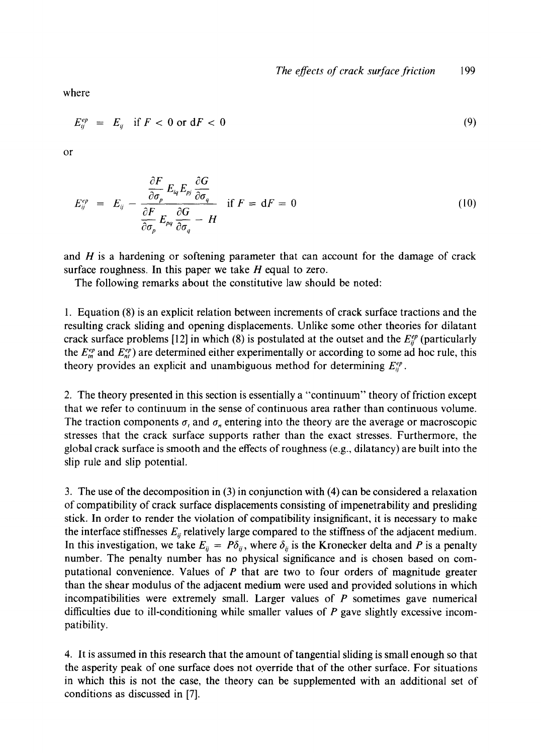where

$$
E_{ij}^{ep} = E_{ij} \quad \text{if } F < 0 \text{ or } \text{d}F < 0 \tag{9}
$$

or

$$
E_{ij}^{ep} = E_{ij} - \frac{\frac{\partial F}{\partial \sigma_p} E_{iq} E_{pj} \frac{\partial G}{\partial \sigma_q}}{\frac{\partial F}{\partial \sigma_p} E_{pq} \frac{\partial G}{\partial \sigma_q} - H} \quad \text{if } F = dF = 0 \tag{10}
$$

and  $H$  is a hardening or softening parameter that can account for the damage of crack surface roughness. In this paper we take  $H$  equal to zero.

The following remarks about the constitutive law should be noted:

1. Equation (8) is an explicit relation between increments of crack surface tractions and the resulting crack sliding and opening displacements. Unlike some other theories for dilatant crack surface problems [12] in which (8) is postulated at the outset and the  $E_{ij}^{ep}$  (particularly the  $E_m^{ep}$  and  $E_n^{ep}$ ) are determined either experimentally or according to some ad hoc rule, this theory provides an explicit and unambiguous method for determining  $E_i^{ep}$ .

2. The theory presented in this section is essentially a "continuum" theory of friction except that we refer to continuum in the sense of continuous area rather than continuous volume. The traction components  $\sigma_t$  and  $\sigma_n$  entering into the theory are the average or macroscopic stresses that the crack surface supports rather than the exact stresses. Furthermore, the global crack surface is smooth and the effects of roughness (e.g., dilatancy) are built into the slip rule and slip potential.

3. The use of the decomposition in (3) in conjunction with (4) can be considered a relaxation of compatibility of crack surface displacements consisting of impenetrability and presliding stick. In order to render the violation of compatibility insignificant, it is necessary to make the interface stiffnesses  $E_{ij}$  relatively large compared to the stiffness of the adjacent medium. In this investigation, we take  $E_{ij} = P\delta_{ij}$ , where  $\delta_{ij}$  is the Kronecker delta and P is a penalty number. The penalty number has no physical significance and is chosen based on computational convenience. Values of P that are two to four orders of magnitude greater than the shear modulus of the adjacent medium were used and provided solutions in which incompatibilities were extremely small. Larger values of  $P$  sometimes gave numerical difficulties due to ill-conditioning while smaller values of  $P$  gave slightly excessive incompatibility.

4. It is assumed in this research that the amount of tangential sliding is small enough so that the asperity peak of one surface does not override that of the other surface. For situations in which this is not the case, the theory can be supplemented with an additional set of conditions as discussed in [7].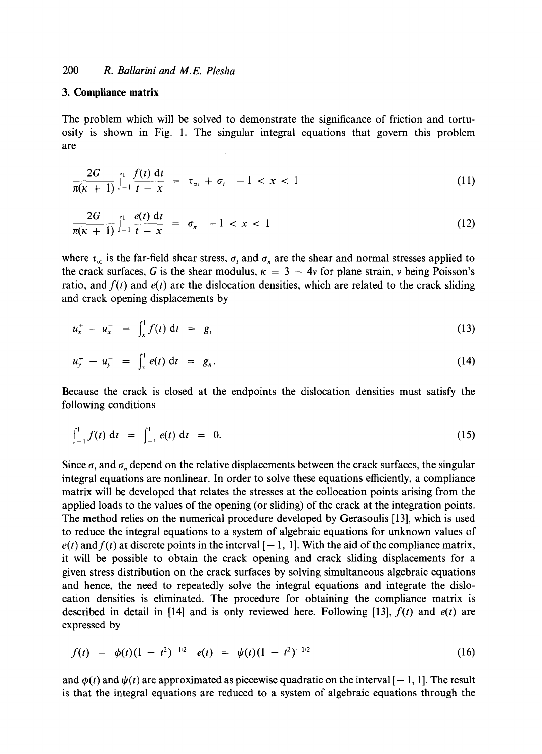## **3. Complianee matrix**

The problem which will be solved to demonstrate the significance of friction and tortuosity is shown in Fig. 1. The singular integral equations that govern this problem are

$$
\frac{2G}{\pi(\kappa+1)} \int_{-1}^{1} \frac{f(t) dt}{t - x} = \tau_{\infty} + \sigma_{t} \quad -1 < x < 1 \tag{11}
$$

$$
\frac{2G}{\pi(\kappa+1)}\int_{-1}^{1}\frac{e(t) dt}{t-x} = \sigma_n - 1 < x < 1 \tag{12}
$$

where  $\tau_{\infty}$  is the far-field shear stress,  $\sigma_{\iota}$  and  $\sigma_{n}$  are the shear and normal stresses applied to the crack surfaces, G is the shear modulus,  $\kappa = 3 - 4v$  for plane strain, v being Poisson's ratio, and  $f(t)$  and  $e(t)$  are the dislocation densities, which are related to the crack sliding and crack opening displacements by

$$
u_x^+ - u_x^- = \int_x^1 f(t) \, \mathrm{d}t = g_t \tag{13}
$$

$$
u_y^+ - u_y^- = \int_x^1 e(t) \, \mathrm{d}t = g_n. \tag{14}
$$

Because the crack is closed at the endpoints the dislocation densities must satisfy the following conditions

$$
\int_{-1}^{1} f(t) dt = \int_{-1}^{1} e(t) dt = 0.
$$
 (15)

Since  $\sigma_i$  and  $\sigma_n$  depend on the relative displacements between the crack surfaces, the singular integral equations are nonlinear. In order to solve these equations efficiently, a compliance matrix will be developed that relates the stresses at the collocation points arising from the applied loads to the values of the opening (or sliding) of the crack at the integration points. The method relies on the numerical procedure developed by Gerasoulis [13], which is used to reduce the integral equations to a system of algebraic equations for unknown values of  $e(t)$  and  $f(t)$  at discrete points in the interval  $[-1, 1]$ . With the aid of the compliance matrix, it will be possible to obtain the crack opening and crack sliding displacements for a given stress distribution on the crack surfaces by solving simultaneous algebraic equations and hence, the need to repeatedly solve the integral equations and integrate the dislocation densities is eliminated. The procedure for obtaining the compliance matrix is described in detail in [14] and is only reviewed here. Following [13],  $f(t)$  and  $e(t)$  are expressed by

$$
f(t) = \phi(t)(1 - t^2)^{-1/2} e(t) = \psi(t)(1 - t^2)^{-1/2}
$$
 (16)

and  $\phi(t)$  and  $\psi(t)$  are approximated as piecewise quadratic on the interval  $[-1, 1]$ . The result is that the integral equations are reduced to a system of algebraic equations through the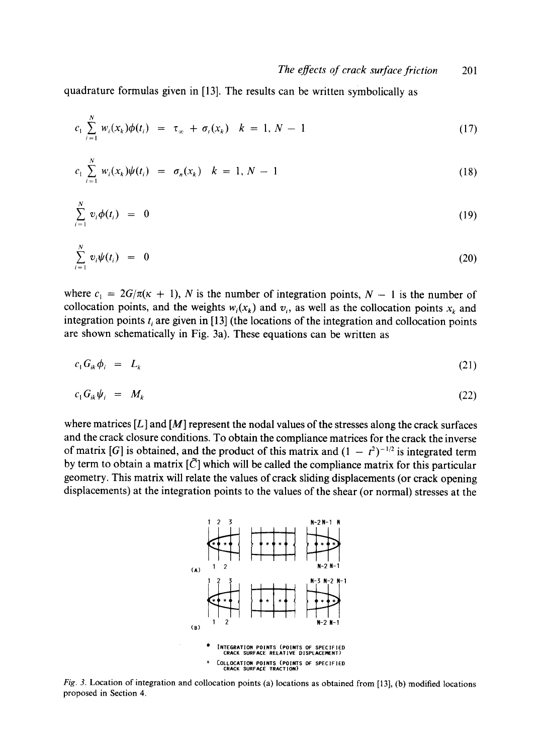**quadrature formulas given in [13]. The results can be written symbolically as** 

$$
c_1 \sum_{i=1}^{N} w_i(x_k) \phi(t_i) = \tau_{\infty} + \sigma_i(x_k) \quad k = 1, N - 1 \tag{17}
$$

$$
c_1 \sum_{i=1}^{N} w_i(x_k) \psi(t_i) = \sigma_n(x_k) \quad k = 1, N - 1 \tag{18}
$$

$$
\sum_{i=1}^N v_i \phi(t_i) = 0 \tag{19}
$$

$$
\sum_{i=1}^N v_i \psi(t_i) = 0 \tag{20}
$$

where  $c_1 = 2G/\pi(\kappa + 1)$ , N is the number of integration points,  $N - 1$  is the number of collocation points, and the weights  $w_i(x_k)$  and  $v_i$ , as well as the collocation points  $x_k$  and integration points  $t_i$ , are given in [13] (the locations of the integration and collocation points **are shown schematically in Fig. 3a). These equations can be written as** 

$$
c_1 G_{ik} \phi_i = L_k \tag{21}
$$

$$
c_1 G_{ik} \psi_i = M_k \tag{22}
$$

**where matrices [L] and [M] represent the nodal values of the stresses along the crack surfaces and the crack closure conditions. To obtain the compliance matrices for the crack the inverse**  of matrix [G] is obtained, and the product of this matrix and  $(1 - t^2)^{-1/2}$  is integrated term by term to obtain a matrix  $[\tilde{C}]$  which will be called the compliance matrix for this particular **geometry. This matrix will relate the values of crack sliding displacements (or crack opening displacements) at the integration points to the values of the shear (or normal) stresses at the** 



*Fig. 3.* **Location of integration and collocation points (a) locations as obtained from [13], (b) modified locations proposed in Section 4.**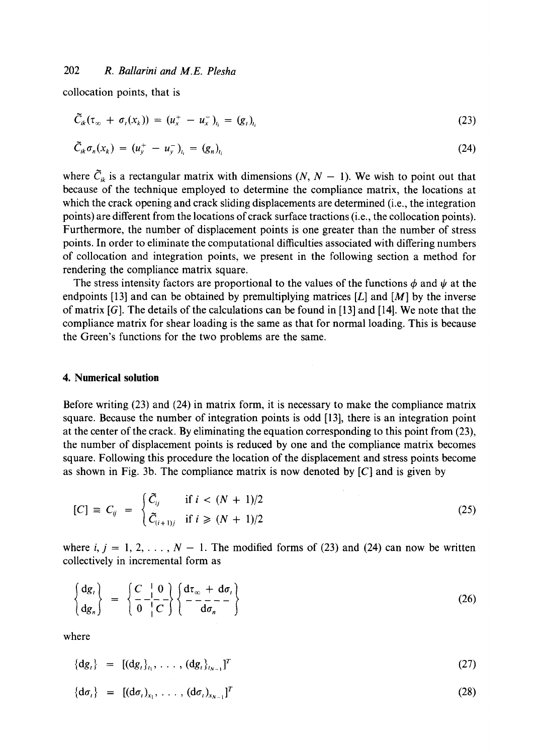collocation points, that is

$$
\widetilde{C}_{ik}(\tau_{\infty} + \sigma_t(x_k)) = (u_x^+ - u_x^-)_{t_i} = (g_t)_{t_i}
$$
\n(23)

$$
\bar{C}_{ik}\sigma_n(x_k) = (u_y^+ - u_y^-)_{t_i} = (g_n)_{t_i}
$$
\n(24)

where  $\tilde{C}_{ik}$  is a rectangular matrix with dimensions  $(N, N - 1)$ . We wish to point out that because of the technique employed to determine the compliance matrix, the locations at which the crack opening and crack sliding displacements are determined (i.e., the integration points) are different from the locations of crack surface tractions (i.e., the collocation points). Furthermore, the number of displacement points is one greater than the number of stress points. In order to eliminate the computational difficulties associated with differing numbers of collocation and integration points, we present in the following section a method for rendering the compliance matrix square.

The stress intensity factors are proportional to the values of the functions  $\phi$  and  $\psi$  at the endpoints [13] and can be obtained by premultiplying matrices [L] and [M] by the inverse of matrix [G]. The details of the calculations can be found in [13] and [14]. We note that the compliance matrix for shear loading is the same as that for normal loading. This is because the Green's functions for the two problems are the same.

#### **4. Numerical solution**

Before writing (23) and (24) in matrix form, it is necessary to make the compliance matrix square. Because the number of integration points is odd [13], there is an integration point at the center of the crack. By eliminating the equation corresponding to this point from (23), the number of displacement points is reduced by one and the compliance matrix becomes square. Following this procedure the location of the displacement and stress points become as shown in Fig. 3b. The compliance matrix is now denoted by  $[C]$  and is given by

$$
[C] \equiv C_{ij} = \begin{cases} \tilde{C}_{ij} & \text{if } i < (N+1)/2 \\ \tilde{C}_{(i+1)j} & \text{if } i \geq (N+1)/2 \end{cases} \tag{25}
$$

where  $i, j = 1, 2, \ldots, N - 1$ . The modified forms of (23) and (24) can now be written collectively in incremental form as

$$
\begin{Bmatrix} \mathrm{d}g_{\iota} \\ \mathrm{d}g_{n} \end{Bmatrix} = \left\{ \frac{C}{0} \begin{bmatrix} 0 \\ -C \end{bmatrix} \right\} \left\{ \frac{\mathrm{d}\tau_{\infty} + \mathrm{d}\sigma_{\iota}}{-\mathrm{d}\sigma_{n}} \right\} \tag{26}
$$

where

$$
\{dg_{t}\} = [(dg_{t}\}_{t_1}, \ldots, (dg_{t}\}_{t_{N-1}})]^{T}
$$
\n(27)

$$
\{\mathrm{d}\sigma_t\} = [(\mathrm{d}\sigma_t)_{x_1}, \ldots, (\mathrm{d}\sigma_t)_{x_{N-1}}]^T
$$
\n(28)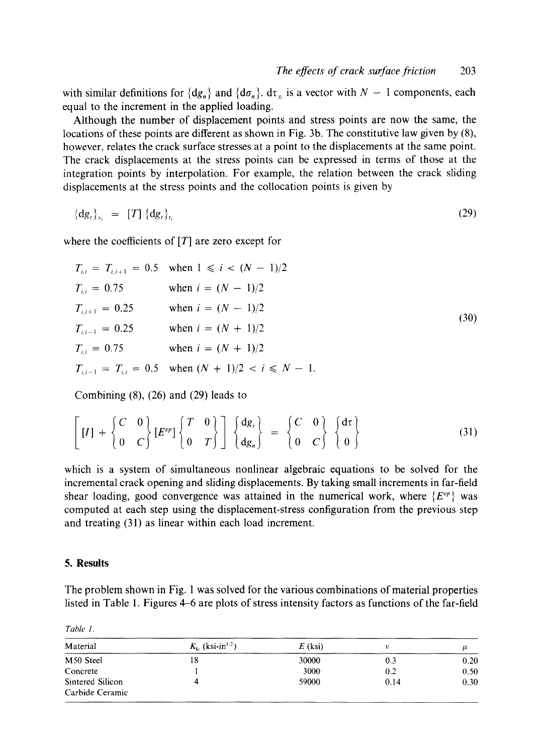with similar definitions for  $\{dg_n\}$  and  $\{d\sigma_n\}$ .  $d\tau_\infty$  is a vector with  $N-1$  components, each equal to the increment in the applied loading.

Although the number of displacement points and stress points are now the same, the locations of these points are different as shown in Fig. 3b. The constitutive law given by (8), however, relates the crack surface stresses at a point to the displacements at the same point. The crack displacements at the stress points can be expressed in terms of those at the integration points by interpolation. For example, the relation between the crack sliding displacements at the stress points and the collocation points is given by

$$
\left\{\mathrm{d}g_{t}\right\}_{x_{i}} = [T] \left\{\mathrm{d}g_{t}\right\}_{t_{i}} \tag{29}
$$

where the coefficients of  $[T]$  are zero except for

$$
T_{i,i} = T_{i,i+1} = 0.5 \quad \text{when } 1 \le i < (N-1)/2
$$
\n
$$
T_{i,i} = 0.75 \quad \text{when } i = (N-1)/2
$$
\n
$$
T_{i,i+1} = 0.25 \quad \text{when } i = (N-1)/2
$$
\n
$$
T_{i,i-1} = 0.25 \quad \text{when } i = (N+1)/2
$$
\n
$$
T_{i,i} = 0.75 \quad \text{when } i = (N+1)/2
$$
\n
$$
T_{i,i-1} = T_{i,i} = 0.5 \quad \text{when } (N+1)/2 < i \le N-1.
$$
\n(30)

Combining (8), (26) and (29) leads to

$$
\left[\begin{bmatrix}I\end{bmatrix}+\left\{\begin{bmatrix}C&0\\0&C\end{bmatrix}\begin{bmatrix}E^{ep}\end{bmatrix}\begin{bmatrix}T&0\\0&T\end{bmatrix}\right]\begin{bmatrix}dg_{i}\\dg_{n}\end{bmatrix}=\left\{\begin{bmatrix}C&0\\0&C\end{bmatrix}\begin{bmatrix}d\tau\\0\end{bmatrix}\right\}\tag{31}
$$

which is a system of simultaneous nonlinear algebraic equations to be solved for the incremental crack opening and sliding displacements. By taking small increments in far-field shear loading, good convergence was attained in the numerical work, where  $\{E^{\varphi}\}\$  was computed at each step using the displacement-stress configuration from the previous step and treating (31) as linear within each load increment.

#### **5. Results**

*Table 1.* 

The problem shown in Fig. 1 was solved for the various combinations of material properties listed in Table 1. Figures 4-6 are plots of stress intensity factors as functions of the far-field

| Material              | $K_{1c}$ (ksi-in <sup>1/2</sup> ) | $E$ (ksi) |      |      |
|-----------------------|-----------------------------------|-----------|------|------|
| M <sub>50</sub> Steel | 18                                | 30000     | 0.3  | 0.20 |
| Concrete              |                                   | 3000      | 0.2  | 0.50 |
| Sintered Silicon      |                                   | 59000     | 0.14 | 0.30 |
| Carbide Ceramic       |                                   |           |      |      |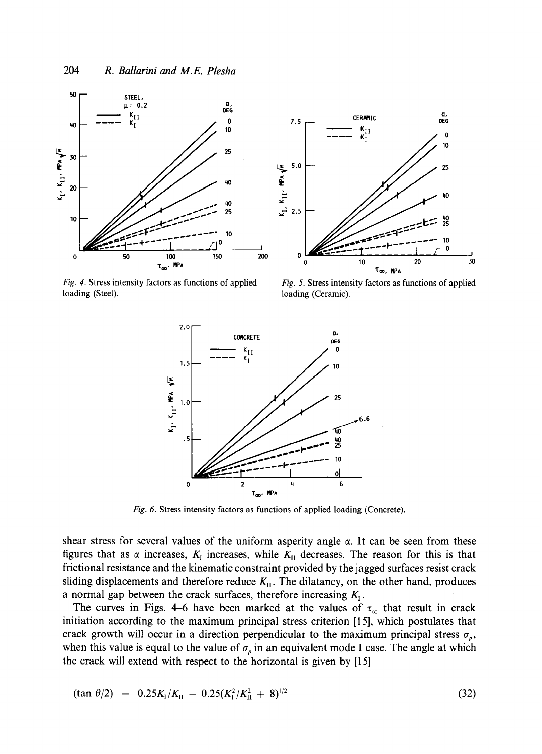



*Fig. 4.* Stress intensity factors as functions of applied loading (Steel).

*Fig. 5.* Stress intensity factors as functions of applied loading (Ceramic).



*Fig. 6.* Stress intensity factors as functions of applied loading (Concrete).

shear stress for several values of the uniform asperity angle  $\alpha$ . It can be seen from these figures that as  $\alpha$  increases,  $K_I$  increases, while  $K_{II}$  decreases. The reason for this is that frictional resistance and the kinematic constraint provided by the jagged surfaces resist crack sliding displacements and therefore reduce  $K_{\text{H}}$ . The dilatancy, on the other hand, produces a normal gap between the crack surfaces, therefore increasing  $K_i$ .

The curves in Figs. 4-6 have been marked at the values of  $\tau_{\infty}$  that result in crack initiation according to the maximum principal stress criterion [15], which postulates that crack growth will occur in a direction perpendicular to the maximum principal stress  $\sigma_p$ , when this value is equal to the value of  $\sigma_p$  in an equivalent mode I case. The angle at which the crack will extend with respect to the horizontal is given by [15]

$$
(\tan \theta/2) = 0.25K_1/K_{\text{II}} - 0.25(K_1^2/K_{\text{II}}^2 + 8)^{1/2}
$$
\n(32)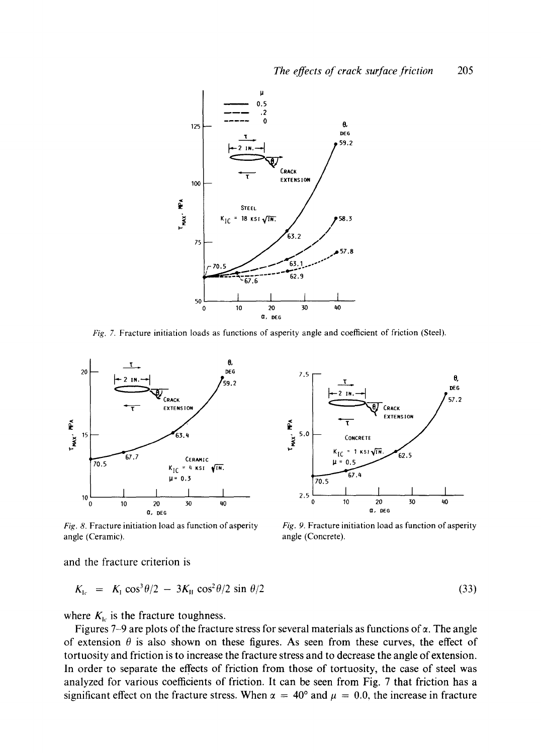

*Fig. 7.* **Fracture initiation loads as functions of asperity angle and coefficient of friction** (Steel).



*Fig. 8.* **Fracture initiation load as function of asperity angle (Ceramic).** 



*Fig. 9.* **Fracture initiation load as function of asperity angle (Concrete).** 

**and the fracture criterion is** 

$$
K_{1c} = K_1 \cos^3 \theta / 2 - 3K_{11} \cos^2 \theta / 2 \sin \theta / 2 \tag{33}
$$

where  $K_{bc}$  is the fracture toughness.

Figures 7-9 are plots of the fracture stress for several materials as functions of  $\alpha$ . The angle of extension  $\theta$  is also shown on these figures. As seen from these curves, the effect of **tortuosity and friction is to increase the fracture stress and to decrease the angle of extension. In order to separate the effects of friction from those of tortuosity, the case of steel was analyzed for various coefficients of friction. It can be seen from Fig. 7 that friction has a**  significant effect on the fracture stress. When  $\alpha = 40^{\circ}$  and  $\mu = 0.0$ , the increase in fracture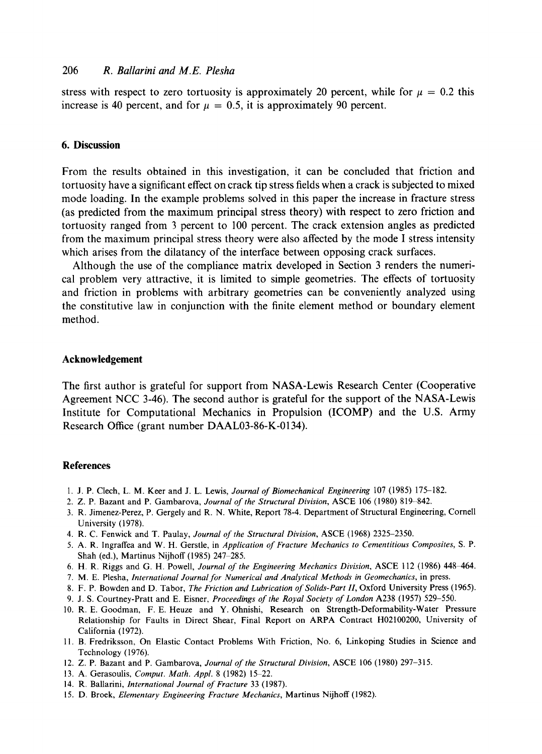# 206 *R. Ballarini and M.E. Plesha*

stress with respect to zero tortuosity is approximately 20 percent, while for  $\mu = 0.2$  this increase is 40 percent, and for  $\mu = 0.5$ , it is approximately 90 percent.

## **6. Discussion**

From the results obtained in this investigation, it can be concluded that friction and tortuosity have a significant effect on crack tip stress fields when a crack is subjected to mixed mode loading. In the example problems solved in this paper the increase in fracture stress (as predicted from the maximum principal stress theory) with respect to zero friction and tortuosity ranged from 3 percent to 100 percent. The crack extension angles as predicted from the maximum principal stress theory were also affected by the mode I stress intensity which arises from the dilatancy of the interface between opposing crack surfaces.

Although the use of the compliance matrix developed in Section 3 renders the numerical problem very attractive, it is limited to simple geometries. The effects of tortuosity and friction in problems with arbitrary geometries can be conveniently analyzed using the constitutive law in conjunction with the finite element method or boundary element method.

#### **Acknowledgement**

The first author is grateful for support from NASA-Lewis Research Center (Cooperative Agreement NCC 3-46). The second author is grateful for the support of the NASA-Lewis Institute for Computational Mechanics in Propulsion (ICOMP) and the U.S. Army Research Office (grant number DAAL03-86-K-0134).

#### **References**

- 1. J. P. Clech, L. M. Keer and J. L. Lewis, *Journal of Biomechanical Engineering* 107 (1985) 175-182.
- 2. Z. P. Bazant and P. Gambarova, *Journal of the Structural Division,* ASCE 106 (1980) 819-842.
- 3. R. Jimenez-Perez, P. Gergely and R. N. White, Report 78-4. Department of Structural Engineering, Cornell University (1978).
- 4. R. C. Fenwick and T. Paulay, *Journal of the Structural Division,* ASCE (1968) 2325-2350.
- 5. A. R. Ingraffea and W. H. Gerstle, in *Application of Fracture Mechanics to Cementitious Composites, S. P.*  Shah (ed.), Martinus Nijhoff (1985) 247-285.
- 6. H. R. Riggs and G. H. Powell, *Journal of the Engineering Mechanics Division,* ASCE 112 (1986) 448~464.
- 7. M. E. Plesha, *International Journal for Numerical and Analytical Methods in Geomechanics,* in press.
- 8. F. P. Bowden and D. Tabor, *The Friction and Lubrication of Solids-Part 11,* Oxford University Press (1965).
- 9. J. S. Courtney-Pratt and E. Eisner, *Proceedings of the Royal Society of London* A238 (1957) 529-550.
- 10. R. E. Goodman, F. E. Heuze and Y. Ohnishi, Research on Strength-Deformability-Water Pressure Relationship for Faults in Direct Shear, Final Report on ARPA Contract H02100200, University of California (1972).
- 11. B. Fredriksson, On Elastic Contact Problems With Friction, No. 6, Linkoping Studies in Science and Technology (1976).
- 12. Z. P. Bazant and P. Gambarova, *Journal of the Structural Division,* ASCE 106 (1980) 297-315.
- 13. A. Gerasoulis, *Comput. Math. Appl.* 8 (1982) 15-22.
- 14. R. Ballarini, *International Journal of Fracture* 33 (1987).
- 15. D. Broek, *Elementary Engineering Fracture Mechanics,* Martinus Nijhoff (1982).